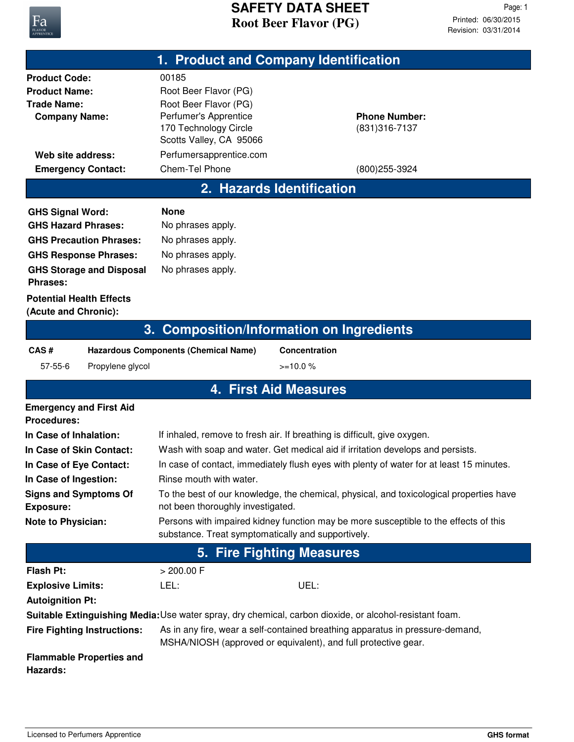

## **Root Beer Flavor (PG) SAFETY DATA SHEET**

Revision: 03/31/2014 Printed: 06/30/2015 Page: 1

| 1. Product and Company Identification                                                                                                                                                                                                    |                                                                                                                                                                                                                                                                                                                                                                                                                                                                                                                                                                 |                                                                                                                                                 |  |  |  |
|------------------------------------------------------------------------------------------------------------------------------------------------------------------------------------------------------------------------------------------|-----------------------------------------------------------------------------------------------------------------------------------------------------------------------------------------------------------------------------------------------------------------------------------------------------------------------------------------------------------------------------------------------------------------------------------------------------------------------------------------------------------------------------------------------------------------|-------------------------------------------------------------------------------------------------------------------------------------------------|--|--|--|
| <b>Product Code:</b><br><b>Product Name:</b><br><b>Trade Name:</b><br><b>Company Name:</b><br>Web site address:                                                                                                                          | 00185<br>Root Beer Flavor (PG)<br>Root Beer Flavor (PG)<br>Perfumer's Apprentice<br>170 Technology Circle<br>Scotts Valley, CA 95066<br>Perfumersapprentice.com                                                                                                                                                                                                                                                                                                                                                                                                 | <b>Phone Number:</b><br>(831) 316-7137                                                                                                          |  |  |  |
| <b>Emergency Contact:</b>                                                                                                                                                                                                                | Chem-Tel Phone                                                                                                                                                                                                                                                                                                                                                                                                                                                                                                                                                  | (800) 255-3924                                                                                                                                  |  |  |  |
| 2. Hazards Identification                                                                                                                                                                                                                |                                                                                                                                                                                                                                                                                                                                                                                                                                                                                                                                                                 |                                                                                                                                                 |  |  |  |
| <b>GHS Signal Word:</b><br><b>GHS Hazard Phrases:</b><br><b>GHS Precaution Phrases:</b><br><b>GHS Response Phrases:</b><br><b>GHS Storage and Disposal</b><br><b>Phrases:</b>                                                            | <b>None</b><br>No phrases apply.<br>No phrases apply.<br>No phrases apply.<br>No phrases apply.                                                                                                                                                                                                                                                                                                                                                                                                                                                                 |                                                                                                                                                 |  |  |  |
| <b>Potential Health Effects</b><br>(Acute and Chronic):                                                                                                                                                                                  |                                                                                                                                                                                                                                                                                                                                                                                                                                                                                                                                                                 |                                                                                                                                                 |  |  |  |
|                                                                                                                                                                                                                                          | 3. Composition/Information on Ingredients                                                                                                                                                                                                                                                                                                                                                                                                                                                                                                                       |                                                                                                                                                 |  |  |  |
| CAS#<br><b>Hazardous Components (Chemical Name)</b><br><b>Concentration</b><br>$>=10.0%$<br>$57 - 55 - 6$<br>Propylene glycol                                                                                                            |                                                                                                                                                                                                                                                                                                                                                                                                                                                                                                                                                                 |                                                                                                                                                 |  |  |  |
|                                                                                                                                                                                                                                          | <b>4. First Aid Measures</b>                                                                                                                                                                                                                                                                                                                                                                                                                                                                                                                                    |                                                                                                                                                 |  |  |  |
| <b>Emergency and First Aid</b><br><b>Procedures:</b><br>In Case of Inhalation:<br>In Case of Skin Contact:<br>In Case of Eye Contact:<br>In Case of Ingestion:<br><b>Signs and Symptoms Of</b><br><b>Exposure:</b><br>Note to Physician: | If inhaled, remove to fresh air. If breathing is difficult, give oxygen.<br>Wash with soap and water. Get medical aid if irritation develops and persists.<br>In case of contact, immediately flush eyes with plenty of water for at least 15 minutes.<br>Rinse mouth with water.<br>To the best of our knowledge, the chemical, physical, and toxicological properties have<br>not been thoroughly investigated.<br>Persons with impaired kidney function may be more susceptible to the effects of this<br>substance. Treat symptomatically and supportively. |                                                                                                                                                 |  |  |  |
| 5. Fire Fighting Measures                                                                                                                                                                                                                |                                                                                                                                                                                                                                                                                                                                                                                                                                                                                                                                                                 |                                                                                                                                                 |  |  |  |
| <b>Flash Pt:</b><br><b>Explosive Limits:</b><br><b>Autoignition Pt:</b>                                                                                                                                                                  | $> 200.00$ F<br>LEL:                                                                                                                                                                                                                                                                                                                                                                                                                                                                                                                                            | UEL:<br>Suitable Extinguishing Media: Use water spray, dry chemical, carbon dioxide, or alcohol-resistant foam.                                 |  |  |  |
| <b>Fire Fighting Instructions:</b><br><b>Flammable Properties and</b><br>Hazards:                                                                                                                                                        |                                                                                                                                                                                                                                                                                                                                                                                                                                                                                                                                                                 | As in any fire, wear a self-contained breathing apparatus in pressure-demand,<br>MSHA/NIOSH (approved or equivalent), and full protective gear. |  |  |  |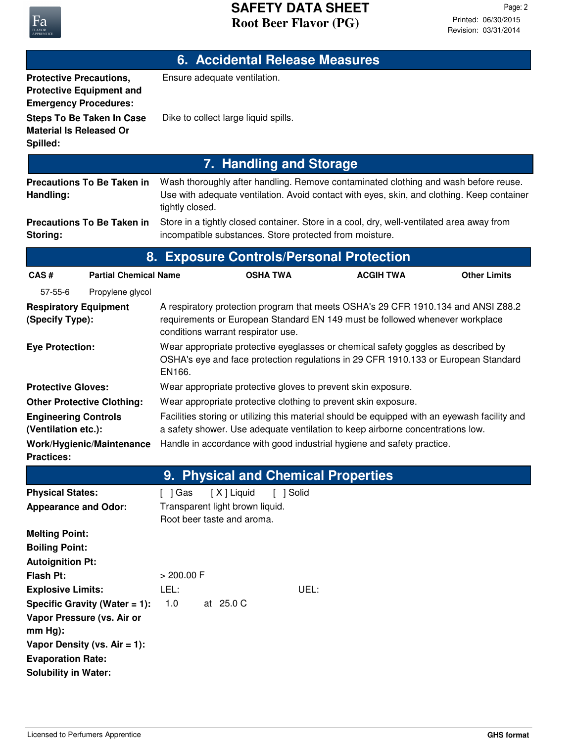| <b>6. Accidental Release Measures</b>                                                             |                                                                                                                                                                                                         |  |  |  |  |  |
|---------------------------------------------------------------------------------------------------|---------------------------------------------------------------------------------------------------------------------------------------------------------------------------------------------------------|--|--|--|--|--|
| <b>Protective Precautions,</b><br><b>Protective Equipment and</b><br><b>Emergency Procedures:</b> | Ensure adequate ventilation.                                                                                                                                                                            |  |  |  |  |  |
| <b>Steps To Be Taken In Case</b><br><b>Material Is Released Or</b><br>Spilled:                    | Dike to collect large liquid spills.                                                                                                                                                                    |  |  |  |  |  |
| 7. Handling and Storage                                                                           |                                                                                                                                                                                                         |  |  |  |  |  |
| <b>Precautions To Be Taken in</b><br>Handling:                                                    | Wash thoroughly after handling. Remove contaminated clothing and wash before reuse.<br>Use with adequate ventilation. Avoid contact with eyes, skin, and clothing. Keep container<br>tightly closed.    |  |  |  |  |  |
| <b>Precautions To Be Taken in</b><br>Storing:                                                     | Store in a tightly closed container. Store in a cool, dry, well-ventilated area away from<br>incompatible substances. Store protected from moisture.                                                    |  |  |  |  |  |
|                                                                                                   | 8. Exposure Controls/Personal Protection                                                                                                                                                                |  |  |  |  |  |
| <b>Partial Chemical Name</b><br>CAS#                                                              | <b>Other Limits</b><br><b>OSHA TWA</b><br><b>ACGIH TWA</b>                                                                                                                                              |  |  |  |  |  |
| 57-55-6<br>Propylene glycol                                                                       |                                                                                                                                                                                                         |  |  |  |  |  |
| <b>Respiratory Equipment</b><br>(Specify Type):                                                   | A respiratory protection program that meets OSHA's 29 CFR 1910.134 and ANSI Z88.2<br>requirements or European Standard EN 149 must be followed whenever workplace<br>conditions warrant respirator use. |  |  |  |  |  |
| <b>Eye Protection:</b>                                                                            | Wear appropriate protective eyeglasses or chemical safety goggles as described by<br>OSHA's eye and face protection regulations in 29 CFR 1910.133 or European Standard<br>EN166.                       |  |  |  |  |  |
| <b>Protective Gloves:</b>                                                                         | Wear appropriate protective gloves to prevent skin exposure.                                                                                                                                            |  |  |  |  |  |
| <b>Other Protective Clothing:</b>                                                                 | Wear appropriate protective clothing to prevent skin exposure.                                                                                                                                          |  |  |  |  |  |
| <b>Engineering Controls</b>                                                                       | Facilities storing or utilizing this material should be equipped with an eyewash facility and                                                                                                           |  |  |  |  |  |
| (Ventilation etc.):                                                                               | a safety shower. Use adequate ventilation to keep airborne concentrations low.<br>Handle in accordance with good industrial hygiene and safety practice.                                                |  |  |  |  |  |
| Work/Hygienic/Maintenance<br><b>Practices:</b>                                                    |                                                                                                                                                                                                         |  |  |  |  |  |
|                                                                                                   | 9. Physical and Chemical Properties                                                                                                                                                                     |  |  |  |  |  |
| <b>Physical States:</b>                                                                           | [X] Liquid<br>[ ] Solid<br>$[$ ] Gas                                                                                                                                                                    |  |  |  |  |  |
| <b>Appearance and Odor:</b>                                                                       | Transparent light brown liquid.<br>Root beer taste and aroma.                                                                                                                                           |  |  |  |  |  |
| <b>Melting Point:</b><br><b>Boiling Point:</b>                                                    |                                                                                                                                                                                                         |  |  |  |  |  |
| <b>Autoignition Pt:</b>                                                                           |                                                                                                                                                                                                         |  |  |  |  |  |
| <b>Flash Pt:</b><br><b>Explosive Limits:</b>                                                      | > 200.00 F<br>UEL:<br>LEL:                                                                                                                                                                              |  |  |  |  |  |
| Specific Gravity (Water $= 1$ ):                                                                  | 1.0<br>at 25.0 C                                                                                                                                                                                        |  |  |  |  |  |
| Vapor Pressure (vs. Air or<br>$mm Hg$ :                                                           |                                                                                                                                                                                                         |  |  |  |  |  |
| Vapor Density (vs. Air = $1$ ):<br><b>Evaporation Rate:</b><br><b>Solubility in Water:</b>        |                                                                                                                                                                                                         |  |  |  |  |  |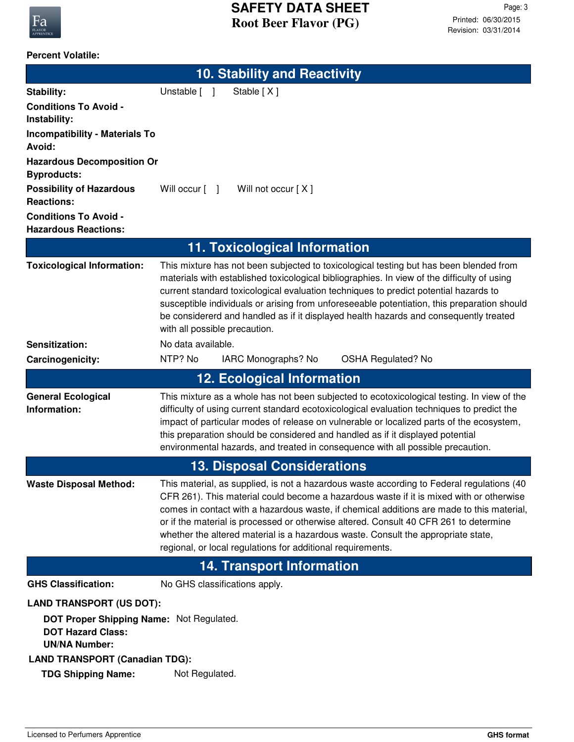

#### **Percent Volatile:**

|                                                                                                                                 | <b>10. Stability and Reactivity</b>                                                                                                                                                                                                                                                                                                                                                                                                                                                                                            |  |
|---------------------------------------------------------------------------------------------------------------------------------|--------------------------------------------------------------------------------------------------------------------------------------------------------------------------------------------------------------------------------------------------------------------------------------------------------------------------------------------------------------------------------------------------------------------------------------------------------------------------------------------------------------------------------|--|
| <b>Stability:</b>                                                                                                               | Unstable [ ]<br>Stable [X]                                                                                                                                                                                                                                                                                                                                                                                                                                                                                                     |  |
| <b>Conditions To Avoid -</b><br>Instability:                                                                                    |                                                                                                                                                                                                                                                                                                                                                                                                                                                                                                                                |  |
| <b>Incompatibility - Materials To</b><br>Avoid:                                                                                 |                                                                                                                                                                                                                                                                                                                                                                                                                                                                                                                                |  |
| <b>Hazardous Decomposition Or</b><br><b>Byproducts:</b>                                                                         |                                                                                                                                                                                                                                                                                                                                                                                                                                                                                                                                |  |
| <b>Possibility of Hazardous</b><br><b>Reactions:</b>                                                                            | Will not occur [X]<br>Will occur [ ]                                                                                                                                                                                                                                                                                                                                                                                                                                                                                           |  |
| <b>Conditions To Avoid -</b><br><b>Hazardous Reactions:</b>                                                                     |                                                                                                                                                                                                                                                                                                                                                                                                                                                                                                                                |  |
|                                                                                                                                 | 11. Toxicological Information                                                                                                                                                                                                                                                                                                                                                                                                                                                                                                  |  |
| <b>Toxicological Information:</b>                                                                                               | This mixture has not been subjected to toxicological testing but has been blended from<br>materials with established toxicological bibliographies. In view of the difficulty of using<br>current standard toxicological evaluation techniques to predict potential hazards to<br>susceptible individuals or arising from unforeseeable potentiation, this preparation should<br>be considererd and handled as if it displayed health hazards and consequently treated<br>with all possible precaution.                         |  |
| Sensitization:                                                                                                                  | No data available.                                                                                                                                                                                                                                                                                                                                                                                                                                                                                                             |  |
| Carcinogenicity:                                                                                                                | NTP? No<br>IARC Monographs? No<br>OSHA Regulated? No                                                                                                                                                                                                                                                                                                                                                                                                                                                                           |  |
|                                                                                                                                 | <b>12. Ecological Information</b>                                                                                                                                                                                                                                                                                                                                                                                                                                                                                              |  |
| <b>General Ecological</b><br>Information:                                                                                       | This mixture as a whole has not been subjected to ecotoxicological testing. In view of the<br>difficulty of using current standard ecotoxicological evaluation techniques to predict the<br>impact of particular modes of release on vulnerable or localized parts of the ecosystem,<br>this preparation should be considered and handled as if it displayed potential<br>environmental hazards, and treated in consequence with all possible precaution.                                                                      |  |
| <b>13. Disposal Considerations</b>                                                                                              |                                                                                                                                                                                                                                                                                                                                                                                                                                                                                                                                |  |
| <b>Waste Disposal Method:</b>                                                                                                   | This material, as supplied, is not a hazardous waste according to Federal regulations (40<br>CFR 261). This material could become a hazardous waste if it is mixed with or otherwise<br>comes in contact with a hazardous waste, if chemical additions are made to this material,<br>or if the material is processed or otherwise altered. Consult 40 CFR 261 to determine<br>whether the altered material is a hazardous waste. Consult the appropriate state,<br>regional, or local regulations for additional requirements. |  |
| <b>14. Transport Information</b>                                                                                                |                                                                                                                                                                                                                                                                                                                                                                                                                                                                                                                                |  |
| <b>GHS Classification:</b>                                                                                                      | No GHS classifications apply.                                                                                                                                                                                                                                                                                                                                                                                                                                                                                                  |  |
| <b>LAND TRANSPORT (US DOT):</b><br>DOT Proper Shipping Name: Not Regulated.<br><b>DOT Hazard Class:</b><br><b>UN/NA Number:</b> |                                                                                                                                                                                                                                                                                                                                                                                                                                                                                                                                |  |
| <b>LAND TRANSPORT (Canadian TDG):</b>                                                                                           |                                                                                                                                                                                                                                                                                                                                                                                                                                                                                                                                |  |
| <b>TDG Shipping Name:</b>                                                                                                       | Not Regulated.                                                                                                                                                                                                                                                                                                                                                                                                                                                                                                                 |  |